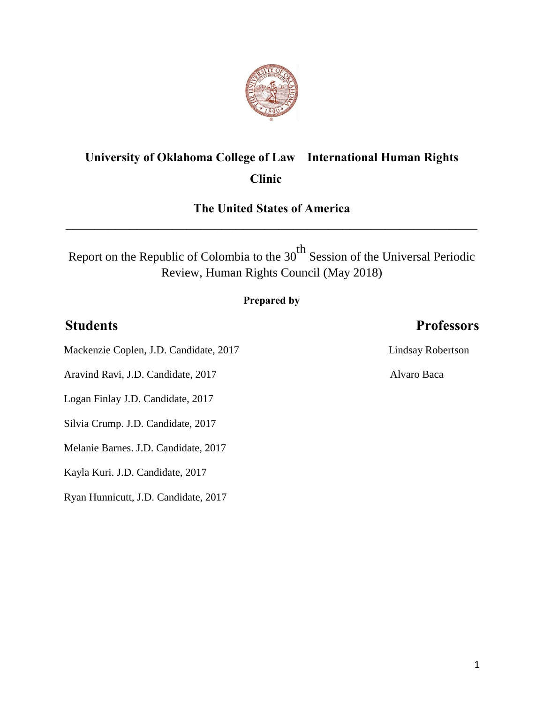

# **University of Oklahoma College of Law International Human Rights Clinic**

# **The United States of America** \_\_\_\_\_\_\_\_\_\_\_\_\_\_\_\_\_\_\_\_\_\_\_\_\_\_\_\_\_\_\_\_\_\_\_\_\_\_\_\_\_\_\_\_\_\_\_\_\_\_\_\_\_\_\_\_\_\_

Report on the Republic of Colombia to the  $30<sup>th</sup>$  Session of the Universal Periodic Review, Human Rights Council (May 2018)

#### **Prepared by**

## **Students Professors**

Mackenzie Coplen, J.D. Candidate, 2017 Lindsay Robertson

Aravind Ravi, J.D. Candidate, 2017 Alvaro Baca

Logan Finlay J.D. Candidate, 2017

Silvia Crump. J.D. Candidate, 2017

Melanie Barnes. J.D. Candidate, 2017

Kayla Kuri. J.D. Candidate, 2017

Ryan Hunnicutt, J.D. Candidate, 2017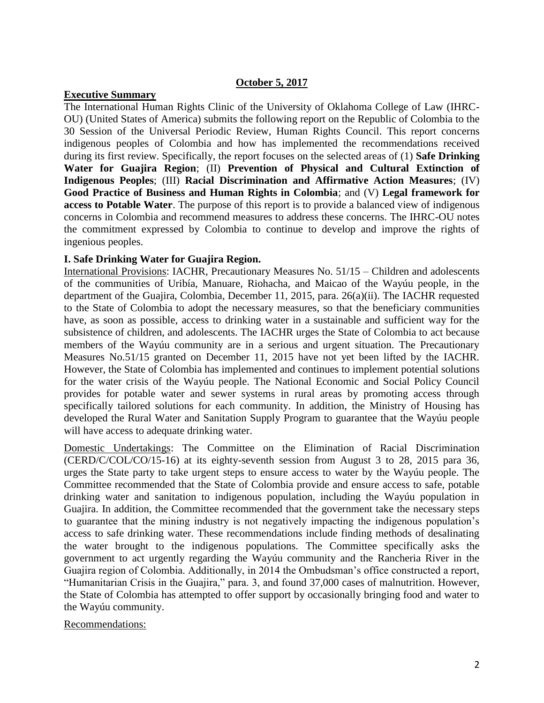#### **October 5, 2017**

#### **Executive Summary**

The International Human Rights Clinic of the University of Oklahoma College of Law (IHRC-OU) (United States of America) submits the following report on the Republic of Colombia to the 30 Session of the Universal Periodic Review, Human Rights Council. This report concerns indigenous peoples of Colombia and how has implemented the recommendations received during its first review. Specifically, the report focuses on the selected areas of (1) **Safe Drinking Water for Guajira Region**; (II) **Prevention of Physical and Cultural Extinction of Indigenous Peoples**; (III) **Racial Discrimination and Affirmative Action Measures**; (IV) **Good Practice of Business and Human Rights in Colombia**; and (V) **Legal framework for access to Potable Water**. The purpose of this report is to provide a balanced view of indigenous concerns in Colombia and recommend measures to address these concerns. The IHRC-OU notes the commitment expressed by Colombia to continue to develop and improve the rights of ingenious peoples.

#### **I. Safe Drinking Water for Guajira Region.**

International Provisions: IACHR, Precautionary Measures No. 51/15 – Children and adolescents of the communities of Uribía, Manuare, Riohacha, and Maicao of the Wayúu people, in the department of the Guajira, Colombia, December 11, 2015, para. 26(a)(ii). The IACHR requested to the State of Colombia to adopt the necessary measures, so that the beneficiary communities have, as soon as possible, access to drinking water in a sustainable and sufficient way for the subsistence of children, and adolescents. The IACHR urges the State of Colombia to act because members of the Wayúu community are in a serious and urgent situation. The Precautionary Measures No.51/15 granted on December 11, 2015 have not yet been lifted by the IACHR. However, the State of Colombia has implemented and continues to implement potential solutions for the water crisis of the Wayúu people. The National Economic and Social Policy Council provides for potable water and sewer systems in rural areas by promoting access through specifically tailored solutions for each community. In addition, the Ministry of Housing has developed the Rural Water and Sanitation Supply Program to guarantee that the Wayúu people will have access to adequate drinking water.

Domestic Undertakings: The Committee on the Elimination of Racial Discrimination (CERD/C/COL/CO/15-16) at its eighty-seventh session from August 3 to 28, 2015 para 36, urges the State party to take urgent steps to ensure access to water by the Wayúu people. The Committee recommended that the State of Colombia provide and ensure access to safe, potable drinking water and sanitation to indigenous population, including the Wayúu population in Guajira. In addition, the Committee recommended that the government take the necessary steps to guarantee that the mining industry is not negatively impacting the indigenous population's access to safe drinking water. These recommendations include finding methods of desalinating the water brought to the indigenous populations. The Committee specifically asks the government to act urgently regarding the Wayúu community and the Rancheria River in the Guajira region of Colombia. Additionally, in 2014 the Ombudsman's office constructed a report, "Humanitarian Crisis in the Guajira," para. 3, and found 37,000 cases of malnutrition. However, the State of Colombia has attempted to offer support by occasionally bringing food and water to the Wayúu community.

#### Recommendations: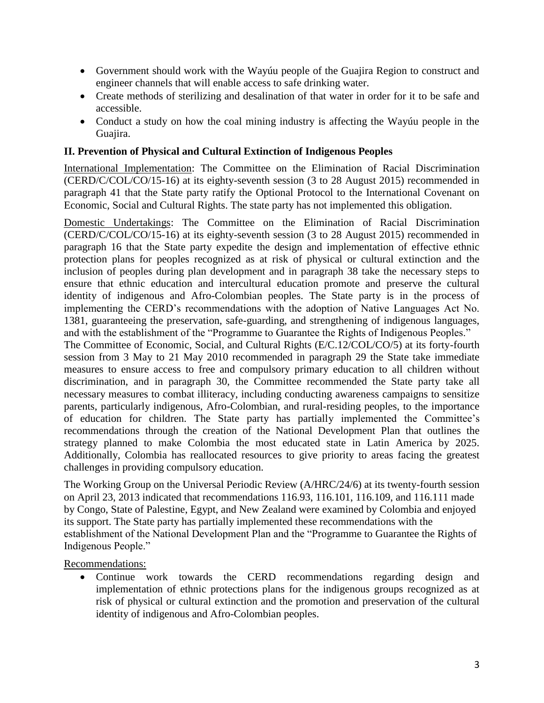- Government should work with the Wayúu people of the Guajira Region to construct and engineer channels that will enable access to safe drinking water.
- Create methods of sterilizing and desalination of that water in order for it to be safe and accessible.
- Conduct a study on how the coal mining industry is affecting the Wayúu people in the Guajira.

### **II. Prevention of Physical and Cultural Extinction of Indigenous Peoples**

International Implementation: The Committee on the Elimination of Racial Discrimination (CERD/C/COL/CO/15-16) at its eighty-seventh session (3 to 28 August 2015) recommended in paragraph 41 that the State party ratify the Optional Protocol to the International Covenant on Economic, Social and Cultural Rights. The state party has not implemented this obligation.

Domestic Undertakings: The Committee on the Elimination of Racial Discrimination (CERD/C/COL/CO/15-16) at its eighty-seventh session (3 to 28 August 2015) recommended in paragraph 16 that the State party expedite the design and implementation of effective ethnic protection plans for peoples recognized as at risk of physical or cultural extinction and the inclusion of peoples during plan development and in paragraph 38 take the necessary steps to ensure that ethnic education and intercultural education promote and preserve the cultural identity of indigenous and Afro-Colombian peoples. The State party is in the process of implementing the CERD's recommendations with the adoption of Native Languages Act No. 1381, guaranteeing the preservation, safe-guarding, and strengthening of indigenous languages, and with the establishment of the "Programme to Guarantee the Rights of Indigenous Peoples."

The Committee of Economic, Social, and Cultural Rights (E/C.12/COL/CO/5) at its forty-fourth session from 3 May to 21 May 2010 recommended in paragraph 29 the State take immediate measures to ensure access to free and compulsory primary education to all children without discrimination, and in paragraph 30, the Committee recommended the State party take all necessary measures to combat illiteracy, including conducting awareness campaigns to sensitize parents, particularly indigenous, Afro-Colombian, and rural-residing peoples, to the importance of education for children. The State party has partially implemented the Committee's recommendations through the creation of the National Development Plan that outlines the strategy planned to make Colombia the most educated state in Latin America by 2025. Additionally, Colombia has reallocated resources to give priority to areas facing the greatest challenges in providing compulsory education.

The Working Group on the Universal Periodic Review (A/HRC/24/6) at its twenty-fourth session on April 23, 2013 indicated that recommendations 116.93, 116.101, 116.109, and 116.111 made by Congo, State of Palestine, Egypt, and New Zealand were examined by Colombia and enjoyed its support. The State party has partially implemented these recommendations with the establishment of the National Development Plan and the "Programme to Guarantee the Rights of Indigenous People."

Recommendations:

• Continue work towards the CERD recommendations regarding design and implementation of ethnic protections plans for the indigenous groups recognized as at risk of physical or cultural extinction and the promotion and preservation of the cultural identity of indigenous and Afro-Colombian peoples.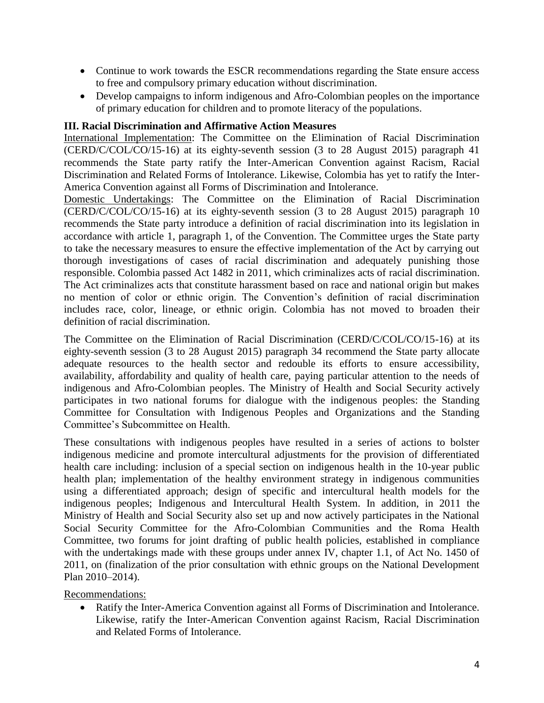- Continue to work towards the ESCR recommendations regarding the State ensure access to free and compulsory primary education without discrimination.
- Develop campaigns to inform indigenous and Afro-Colombian peoples on the importance of primary education for children and to promote literacy of the populations.

#### **III. Racial Discrimination and Affirmative Action Measures**

International Implementation: The Committee on the Elimination of Racial Discrimination (CERD/C/COL/CO/15-16) at its eighty-seventh session (3 to 28 August 2015) paragraph 41 recommends the State party ratify the Inter-American Convention against Racism, Racial Discrimination and Related Forms of Intolerance. Likewise, Colombia has yet to ratify the Inter-America Convention against all Forms of Discrimination and Intolerance.

Domestic Undertakings: The Committee on the Elimination of Racial Discrimination (CERD/C/COL/CO/15-16) at its eighty-seventh session (3 to 28 August 2015) paragraph 10 recommends the State party introduce a definition of racial discrimination into its legislation in accordance with article 1, paragraph 1, of the Convention. The Committee urges the State party to take the necessary measures to ensure the effective implementation of the Act by carrying out thorough investigations of cases of racial discrimination and adequately punishing those responsible. Colombia passed Act 1482 in 2011, which criminalizes acts of racial discrimination. The Act criminalizes acts that constitute harassment based on race and national origin but makes no mention of color or ethnic origin. The Convention's definition of racial discrimination includes race, color, lineage, or ethnic origin. Colombia has not moved to broaden their definition of racial discrimination.

The Committee on the Elimination of Racial Discrimination (CERD/C/COL/CO/15-16) at its eighty-seventh session (3 to 28 August 2015) paragraph 34 recommend the State party allocate adequate resources to the health sector and redouble its efforts to ensure accessibility, availability, affordability and quality of health care, paying particular attention to the needs of indigenous and Afro-Colombian peoples. The Ministry of Health and Social Security actively participates in two national forums for dialogue with the indigenous peoples: the Standing Committee for Consultation with Indigenous Peoples and Organizations and the Standing Committee's Subcommittee on Health.

These consultations with indigenous peoples have resulted in a series of actions to bolster indigenous medicine and promote intercultural adjustments for the provision of differentiated health care including: inclusion of a special section on indigenous health in the 10-year public health plan; implementation of the healthy environment strategy in indigenous communities using a differentiated approach; design of specific and intercultural health models for the indigenous peoples; Indigenous and Intercultural Health System. In addition, in 2011 the Ministry of Health and Social Security also set up and now actively participates in the National Social Security Committee for the Afro-Colombian Communities and the Roma Health Committee, two forums for joint drafting of public health policies, established in compliance with the undertakings made with these groups under annex IV, chapter 1.1, of Act No. 1450 of 2011, on (finalization of the prior consultation with ethnic groups on the National Development Plan 2010–2014).

Recommendations:

 Ratify the Inter-America Convention against all Forms of Discrimination and Intolerance. Likewise, ratify the Inter-American Convention against Racism, Racial Discrimination and Related Forms of Intolerance.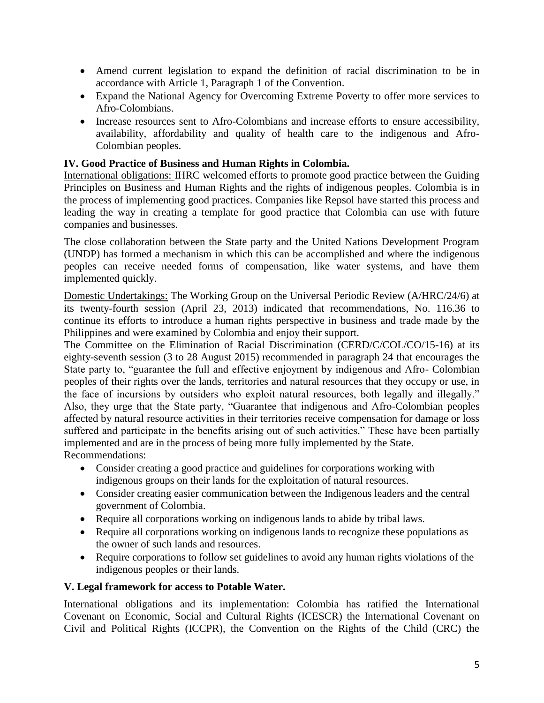- Amend current legislation to expand the definition of racial discrimination to be in accordance with Article 1, Paragraph 1 of the Convention.
- Expand the National Agency for Overcoming Extreme Poverty to offer more services to Afro-Colombians.
- Increase resources sent to Afro-Colombians and increase efforts to ensure accessibility, availability, affordability and quality of health care to the indigenous and Afro-Colombian peoples.

#### **IV. Good Practice of Business and Human Rights in Colombia.**

International obligations: IHRC welcomed efforts to promote good practice between the Guiding Principles on Business and Human Rights and the rights of indigenous peoples. Colombia is in the process of implementing good practices. Companies like Repsol have started this process and leading the way in creating a template for good practice that Colombia can use with future companies and businesses.

The close collaboration between the State party and the United Nations Development Program (UNDP) has formed a mechanism in which this can be accomplished and where the indigenous peoples can receive needed forms of compensation, like water systems, and have them implemented quickly.

Domestic Undertakings: The Working Group on the Universal Periodic Review (A/HRC/24/6) at its twenty-fourth session (April 23, 2013) indicated that recommendations, No. 116.36 to continue its efforts to introduce a human rights perspective in business and trade made by the Philippines and were examined by Colombia and enjoy their support.

The Committee on the Elimination of Racial Discrimination (CERD/C/COL/CO/15-16) at its eighty-seventh session (3 to 28 August 2015) recommended in paragraph 24 that encourages the State party to, "guarantee the full and effective enjoyment by indigenous and Afro- Colombian peoples of their rights over the lands, territories and natural resources that they occupy or use, in the face of incursions by outsiders who exploit natural resources, both legally and illegally." Also, they urge that the State party, "Guarantee that indigenous and Afro-Colombian peoples affected by natural resource activities in their territories receive compensation for damage or loss suffered and participate in the benefits arising out of such activities." These have been partially implemented and are in the process of being more fully implemented by the State. Recommendations:

- Consider creating a good practice and guidelines for corporations working with indigenous groups on their lands for the exploitation of natural resources.
- Consider creating easier communication between the Indigenous leaders and the central government of Colombia.
- Require all corporations working on indigenous lands to abide by tribal laws.
- Require all corporations working on indigenous lands to recognize these populations as the owner of such lands and resources.
- Require corporations to follow set guidelines to avoid any human rights violations of the indigenous peoples or their lands.

#### **V. Legal framework for access to Potable Water.**

International obligations and its implementation: Colombia has ratified the International Covenant on Economic, Social and Cultural Rights (ICESCR) the International Covenant on Civil and Political Rights (ICCPR), the Convention on the Rights of the Child (CRC) the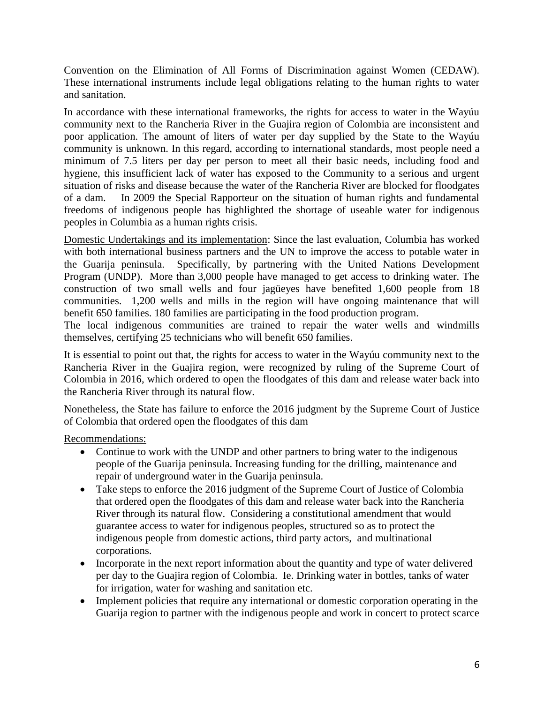Convention on the Elimination of All Forms of Discrimination against Women (CEDAW). These international instruments include legal obligations relating to the human rights to water and sanitation.

In accordance with these international frameworks, the rights for access to water in the Wayúu community next to the Rancheria River in the Guajira region of Colombia are inconsistent and poor application. The amount of liters of water per day supplied by the State to the Wayúu community is unknown. In this regard, according to international standards, most people need a minimum of 7.5 liters per day per person to meet all their basic needs, including food and hygiene, this insufficient lack of water has exposed to the Community to a serious and urgent situation of risks and disease because the water of the Rancheria River are blocked for floodgates of a dam. In 2009 the Special Rapporteur on the situation of human rights and fundamental freedoms of indigenous people has highlighted the shortage of useable water for indigenous peoples in Columbia as a human rights crisis.

Domestic Undertakings and its implementation: Since the last evaluation, Columbia has worked with both international business partners and the UN to improve the access to potable water in the Guarija peninsula. Specifically, by partnering with the United Nations Development Program (UNDP). More than 3,000 people have managed to get access to drinking water. The construction of two small wells and four jagüeyes have benefited 1,600 people from 18 communities. 1,200 wells and mills in the region will have ongoing maintenance that will benefit 650 families. 180 families are participating in the food production program.

The local indigenous communities are trained to repair the water wells and windmills themselves, certifying 25 technicians who will benefit 650 families.

It is essential to point out that, the rights for access to water in the Wayúu community next to the Rancheria River in the Guajira region, were recognized by ruling of the Supreme Court of Colombia in 2016, which ordered to open the floodgates of this dam and release water back into the Rancheria River through its natural flow.

Nonetheless, the State has failure to enforce the 2016 judgment by the Supreme Court of Justice of Colombia that ordered open the floodgates of this dam

Recommendations:

- Continue to work with the UNDP and other partners to bring water to the indigenous people of the Guarija peninsula. Increasing funding for the drilling, maintenance and repair of underground water in the Guarija peninsula.
- Take steps to enforce the 2016 judgment of the Supreme Court of Justice of Colombia that ordered open the floodgates of this dam and release water back into the Rancheria River through its natural flow. Considering a constitutional amendment that would guarantee access to water for indigenous peoples, structured so as to protect the indigenous people from domestic actions, third party actors, and multinational corporations.
- Incorporate in the next report information about the quantity and type of water delivered per day to the Guajira region of Colombia. Ie. Drinking water in bottles, tanks of water for irrigation, water for washing and sanitation etc.
- Implement policies that require any international or domestic corporation operating in the Guarija region to partner with the indigenous people and work in concert to protect scarce